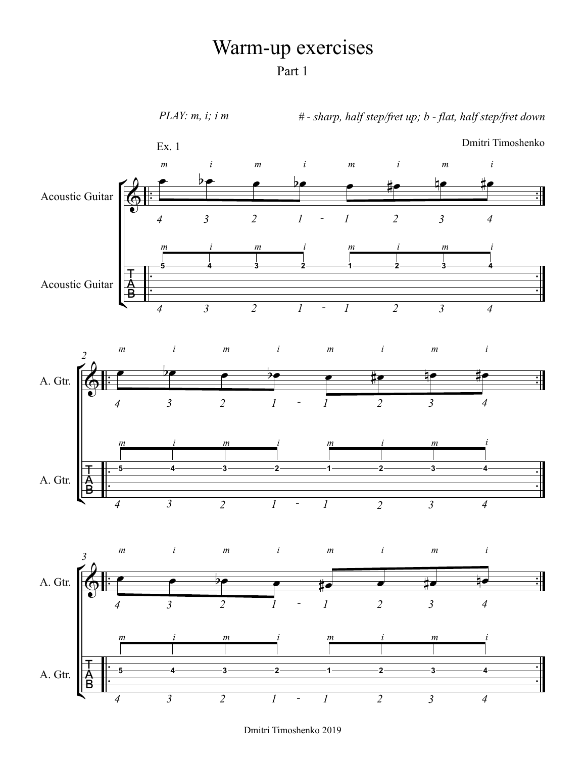## Warm-up exercises

Part 1



Dmitri Timoshenko 2019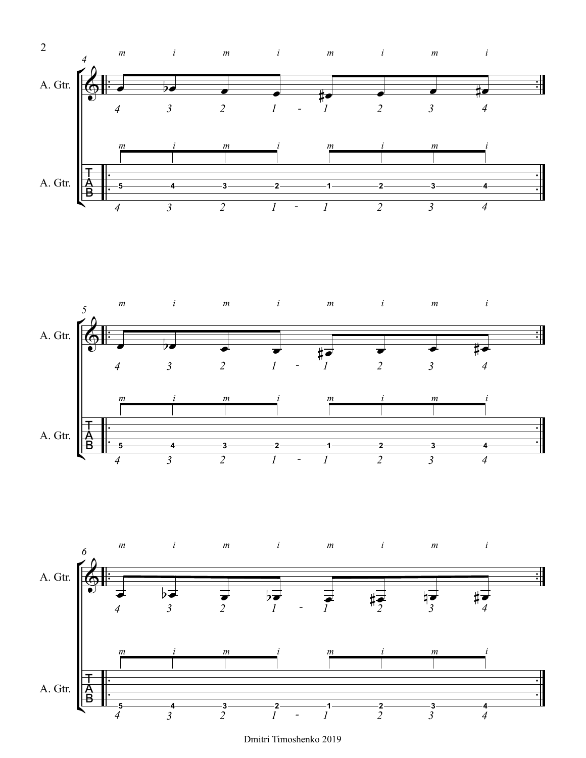



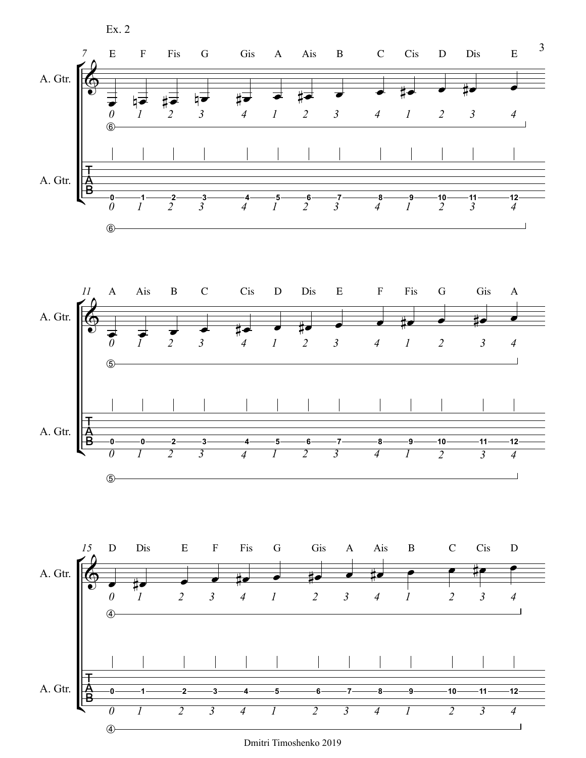



Dmitri Timoshenko 2019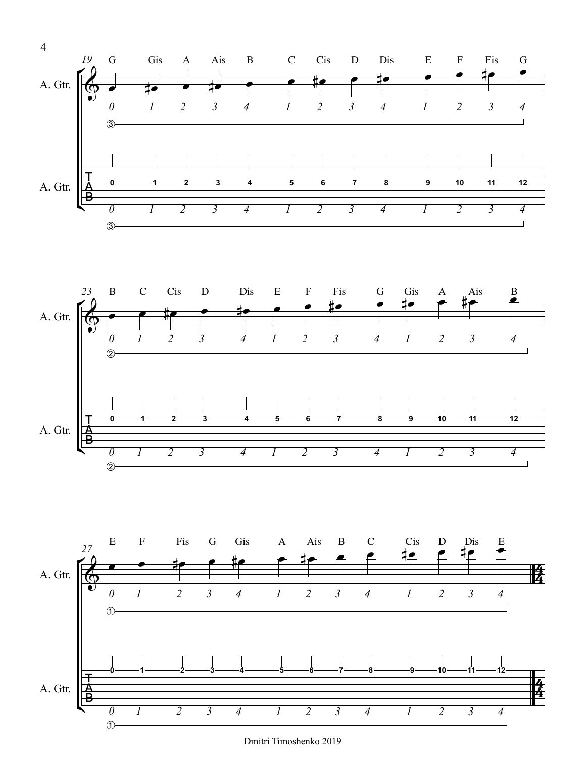

Dmitri Timoshenko 2019

 $\overline{4}$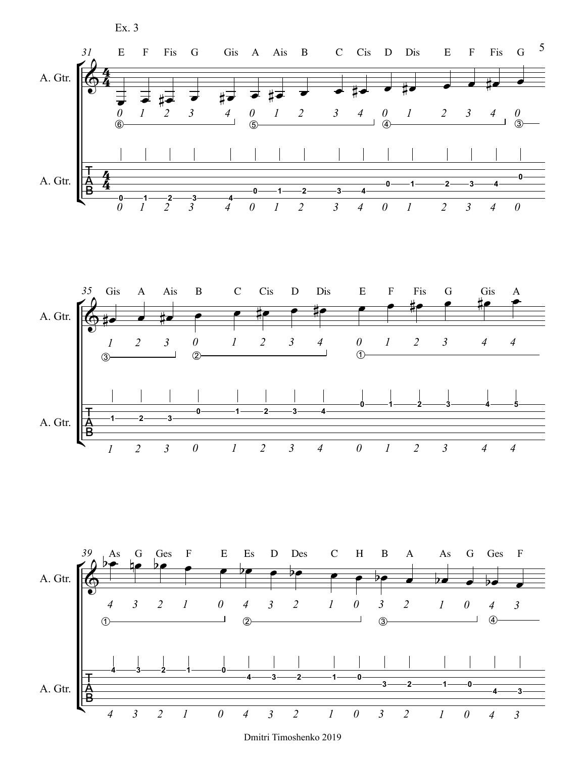$Ex.3$ 



Dmitri Timoshenko 2019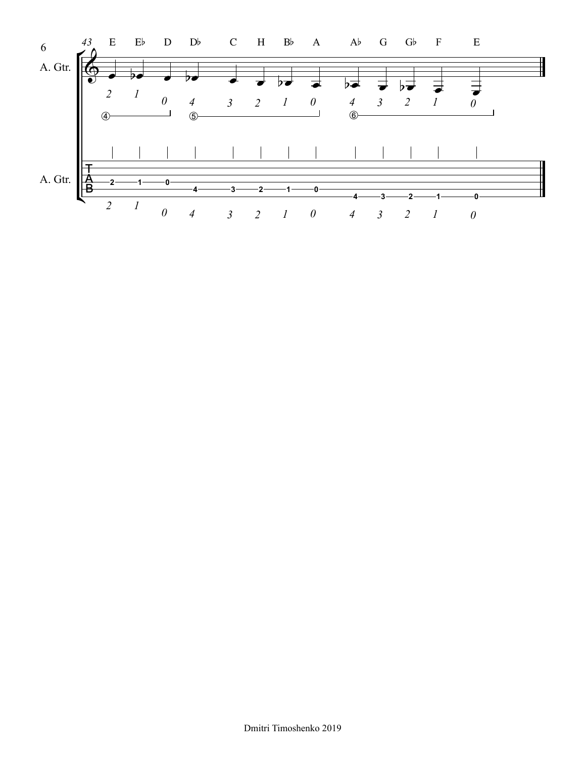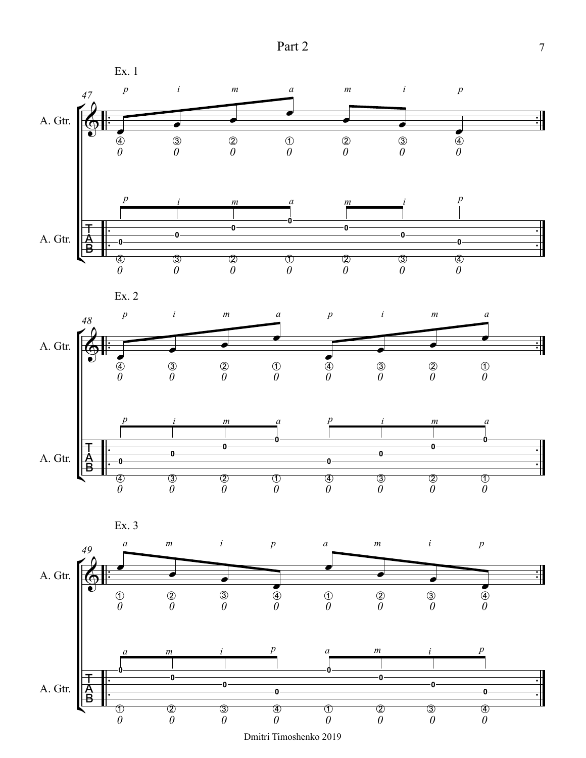